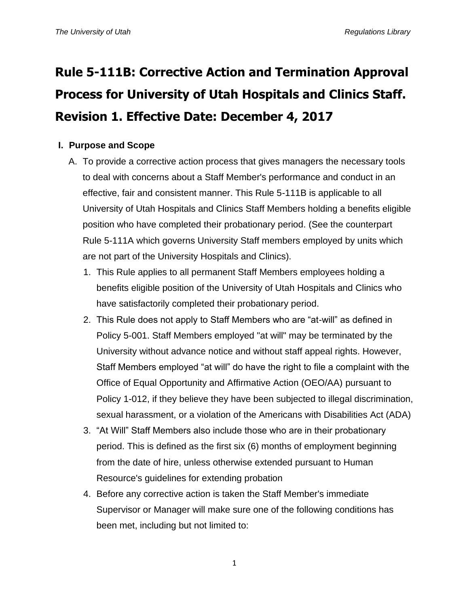# **Rule 5-111B: Corrective Action and Termination Approval Process for University of Utah Hospitals and Clinics Staff. Revision 1. Effective Date: December 4, 2017**

# **I. Purpose and Scope**

- A. To provide a corrective action process that gives managers the necessary tools to deal with concerns about a Staff Member's performance and conduct in an effective, fair and consistent manner. This Rule 5-111B is applicable to all University of Utah Hospitals and Clinics Staff Members holding a benefits eligible position who have completed their probationary period. (See the counterpart Rule 5-111A which governs University Staff members employed by units which are not part of the University Hospitals and Clinics).
	- 1. This Rule applies to all permanent Staff Members employees holding a benefits eligible position of the University of Utah Hospitals and Clinics who have satisfactorily completed their probationary period.
	- 2. This Rule does not apply to Staff Members who are "at-will" as defined in Policy 5-001. Staff Members employed "at will" may be terminated by the University without advance notice and without staff appeal rights. However, Staff Members employed "at will" do have the right to file a complaint with the Office of Equal Opportunity and Affirmative Action (OEO/AA) pursuant to Policy 1-012, if they believe they have been subjected to illegal discrimination, sexual harassment, or a violation of the Americans with Disabilities Act (ADA)
	- 3. "At Will" Staff Members also include those who are in their probationary period. This is defined as the first six (6) months of employment beginning from the date of hire, unless otherwise extended pursuant to Human Resource's guidelines for extending probation
	- 4. Before any corrective action is taken the Staff Member's immediate Supervisor or Manager will make sure one of the following conditions has been met, including but not limited to:

1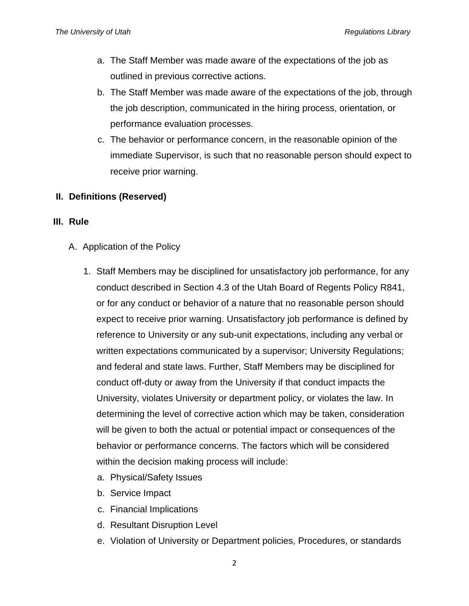- a. The Staff Member was made aware of the expectations of the job as outlined in previous corrective actions.
- b. The Staff Member was made aware of the expectations of the job, through the job description, communicated in the hiring process, orientation, or performance evaluation processes.
- c. The behavior or performance concern, in the reasonable opinion of the immediate Supervisor, is such that no reasonable person should expect to receive prior warning.

### **II. Definitions (Reserved)**

#### **III. Rule**

- A. Application of the Policy
	- 1. Staff Members may be disciplined for unsatisfactory job performance, for any conduct described in Section 4.3 of the Utah Board of Regents Policy R841, or for any conduct or behavior of a nature that no reasonable person should expect to receive prior warning. Unsatisfactory job performance is defined by reference to University or any sub-unit expectations, including any verbal or written expectations communicated by a supervisor; University Regulations; and federal and state laws. Further, Staff Members may be disciplined for conduct off-duty or away from the University if that conduct impacts the University, violates University or department policy, or violates the law. In determining the level of corrective action which may be taken, consideration will be given to both the actual or potential impact or consequences of the behavior or performance concerns. The factors which will be considered within the decision making process will include:
		- a. Physical/Safety Issues
		- b. Service Impact
		- c. Financial Implications
		- d. Resultant Disruption Level
		- e. Violation of University or Department policies, Procedures, or standards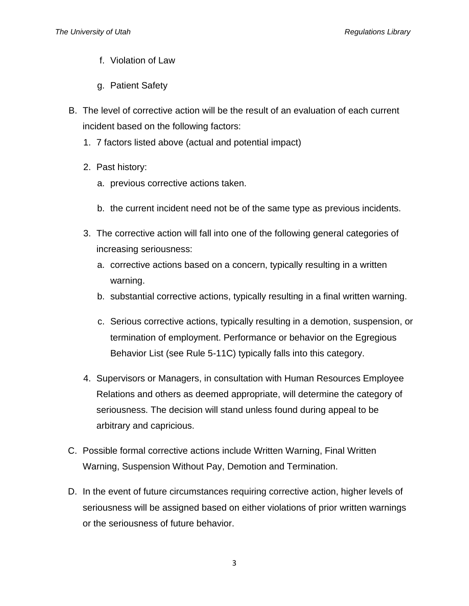- f. Violation of Law
- g. Patient Safety
- B. The level of corrective action will be the result of an evaluation of each current incident based on the following factors:
	- 1. 7 factors listed above (actual and potential impact)
	- 2. Past history:
		- a. previous corrective actions taken.
		- b. the current incident need not be of the same type as previous incidents.
	- 3. The corrective action will fall into one of the following general categories of increasing seriousness:
		- a. corrective actions based on a concern, typically resulting in a written warning.
		- b. substantial corrective actions, typically resulting in a final written warning.
		- c. Serious corrective actions, typically resulting in a demotion, suspension, or termination of employment. Performance or behavior on the Egregious Behavior List (see Rule 5-11C) typically falls into this category.
	- 4. Supervisors or Managers, in consultation with Human Resources Employee Relations and others as deemed appropriate, will determine the category of seriousness. The decision will stand unless found during appeal to be arbitrary and capricious.
- C. Possible formal corrective actions include Written Warning, Final Written Warning, Suspension Without Pay, Demotion and Termination.
- D. In the event of future circumstances requiring corrective action, higher levels of seriousness will be assigned based on either violations of prior written warnings or the seriousness of future behavior.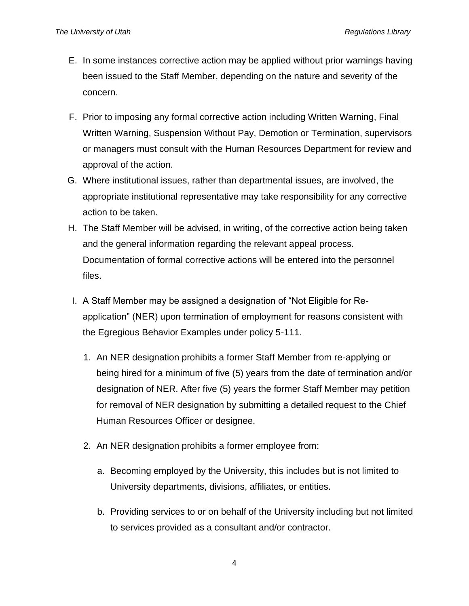- E. In some instances corrective action may be applied without prior warnings having been issued to the Staff Member, depending on the nature and severity of the concern.
- F. Prior to imposing any formal corrective action including Written Warning, Final Written Warning, Suspension Without Pay, Demotion or Termination, supervisors or managers must consult with the Human Resources Department for review and approval of the action.
- G. Where institutional issues, rather than departmental issues, are involved, the appropriate institutional representative may take responsibility for any corrective action to be taken.
- H. The Staff Member will be advised, in writing, of the corrective action being taken and the general information regarding the relevant appeal process. Documentation of formal corrective actions will be entered into the personnel files.
- I. A Staff Member may be assigned a designation of "Not Eligible for Reapplication" (NER) upon termination of employment for reasons consistent with the Egregious Behavior Examples under policy 5-111.
	- 1. An NER designation prohibits a former Staff Member from re-applying or being hired for a minimum of five (5) years from the date of termination and/or designation of NER. After five (5) years the former Staff Member may petition for removal of NER designation by submitting a detailed request to the Chief Human Resources Officer or designee.
	- 2. An NER designation prohibits a former employee from:
		- a. Becoming employed by the University, this includes but is not limited to University departments, divisions, affiliates, or entities.
		- b. Providing services to or on behalf of the University including but not limited to services provided as a consultant and/or contractor.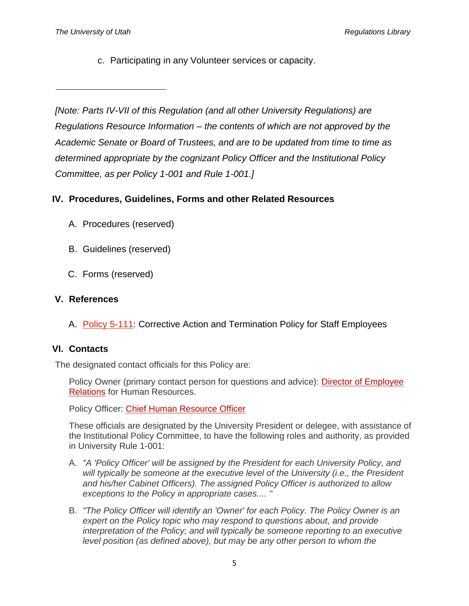c. Participating in any Volunteer services or capacity.

## **IV. Procedures, Guidelines, Forms and other Related Resources**

- A. Procedures (reserved)
- B. Guidelines (reserved)
- C. Forms (reserved)

## **V. References**

A. [Policy 5-111:](http://regulations.utah.edu/human-resources/5-111.php) Corrective Action and Termination Policy for Staff Employees

## **VI. Contacts**

The designated contact officials for this Policy are:

Policy Owner (primary contact person for questions and advice): [Director of Employee](http://regulations.utah.edu/human-resources/%7B%7Bf:3109842%7D%7D)  [Relations](http://regulations.utah.edu/human-resources/%7B%7Bf:3109842%7D%7D) for Human Resources.

Policy Officer: [Chief Human Resource Officer](http://regulations.utah.edu/human-resources/%7B%7Bf:3109842%7D%7D)

These officials are designated by the University President or delegee, with assistance of the Institutional Policy Committee, to have the following roles and authority, as provided in University Rule 1-001:

- A. *"A 'Policy Officer' will be assigned by the President for each University Policy, and*  will typically be someone at the executive level of the University *(i.e., the President and his/her Cabinet Officers). The assigned Policy Officer is authorized to allow exceptions to the Policy in appropriate cases.... "*
- B. *"The Policy Officer will identify an 'Owner' for each Policy. The Policy Owner is an expert on the Policy topic who may respond to questions about, and provide interpretation of the Policy; and will typically be someone reporting to an executive level position (as defined above), but may be any other person to whom the*

*<sup>[</sup>Note: Parts IV-VII of this Regulation (and all other University Regulations) are Regulations Resource Information – the contents of which are not approved by the Academic Senate or Board of Trustees, and are to be updated from time to time as determined appropriate by the cognizant Policy Officer and the Institutional Policy Committee, as per Policy 1-001 and Rule 1-001.]*